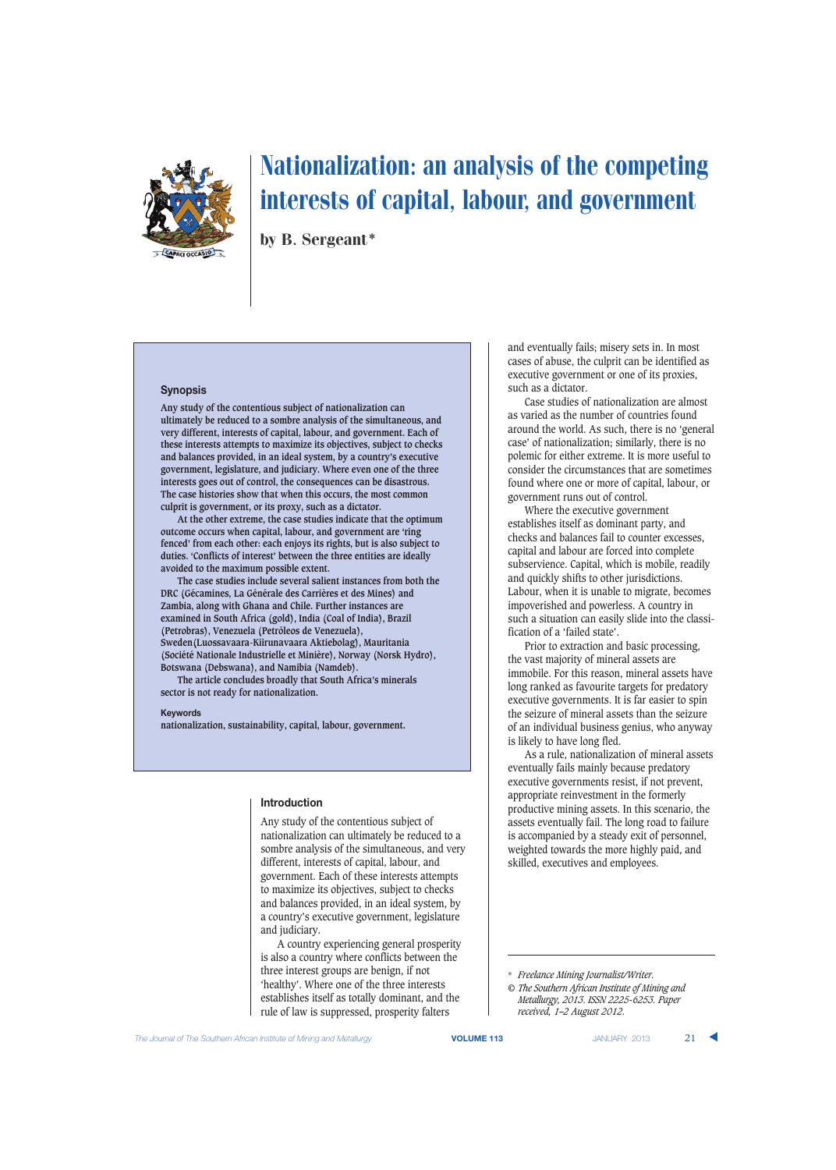

by B. Sergeant\*

# **Synopsis**

**Any study of the contentious subject of nationalization can ultimately be reduced to a sombre analysis of the simultaneous, and very different, interests of capital, labour, and government. Each of these interests attempts to maximize its objectives, subject to checks and balances provided, in an ideal system, by a country's executive government, legislature, and judiciary. Where even one of the three interests goes out of control, the consequences can be disastrous. The case histories show that when this occurs, the most common culprit is government, or its proxy, such as a dictator.**

**At the other extreme, the case studies indicate that the optimum outcome occurs when capital, labour, and government are 'ring fenced' from each other: each enjoys its rights, but is also subject to duties. 'Conflicts of interest' between the three entities are ideally avoided to the maximum possible extent.**

**The case studies include several salient instances from both the DRC (Gécamines, La Générale des Carrières et des Mines) and Zambia, along with Ghana and Chile. Further instances are examined in South Africa (gold), India (Coal of India), Brazil (Petrobras), Venezuela (Petróleos de Venezuela), Sweden(Luossavaara-Kiirunavaara Aktiebolag), Mauritania (Société Nationale Industrielle et Minière), Norway (Norsk Hydro), Botswana (Debswana), and Namibia (Namdeb).**

**The article concludes broadly that South Africa's minerals sector is not ready for nationalization.**

#### **Keywords**

**nationalization, sustainability, capital, labour, government.**

#### **Introduction**

Any study of the contentious subject of nationalization can ultimately be reduced to a sombre analysis of the simultaneous, and very different, interests of capital, labour, and government. Each of these interests attempts to maximize its objectives, subject to checks and balances provided, in an ideal system, by a country's executive government, legislature and judiciary.

A country experiencing general prosperity is also a country where conflicts between the three interest groups are benign, if not 'healthy'. Where one of the three interests establishes itself as totally dominant, and the rule of law is suppressed, prosperity falters

and eventually fails; misery sets in. In most cases of abuse, the culprit can be identified as executive government or one of its proxies, such as a dictator.

Case studies of nationalization are almost as varied as the number of countries found around the world. As such, there is no 'general case' of nationalization; similarly, there is no polemic for either extreme. It is more useful to consider the circumstances that are sometimes found where one or more of capital, labour, or government runs out of control.

Where the executive government establishes itself as dominant party, and checks and balances fail to counter excesses, capital and labour are forced into complete subservience. Capital, which is mobile, readily and quickly shifts to other jurisdictions. Labour, when it is unable to migrate, becomes impoverished and powerless. A country in such a situation can easily slide into the classification of a 'failed state'.

Prior to extraction and basic processing, the vast majority of mineral assets are immobile. For this reason, mineral assets have long ranked as favourite targets for predatory executive governments. It is far easier to spin the seizure of mineral assets than the seizure of an individual business genius, who anyway is likely to have long fled.

As a rule, nationalization of mineral assets eventually fails mainly because predatory executive governments resist, if not prevent, appropriate reinvestment in the formerly productive mining assets. In this scenario, the assets eventually fail. The long road to failure is accompanied by a steady exit of personnel, weighted towards the more highly paid, and skilled, executives and employees.

<sup>\*</sup> *Freelance Mining Journalist/Writer.*

*<sup>©</sup> The Southern African Institute of Mining and Metallurgy, 2013. ISSN 2225-6253. Paper received, 1–2 August 2012.*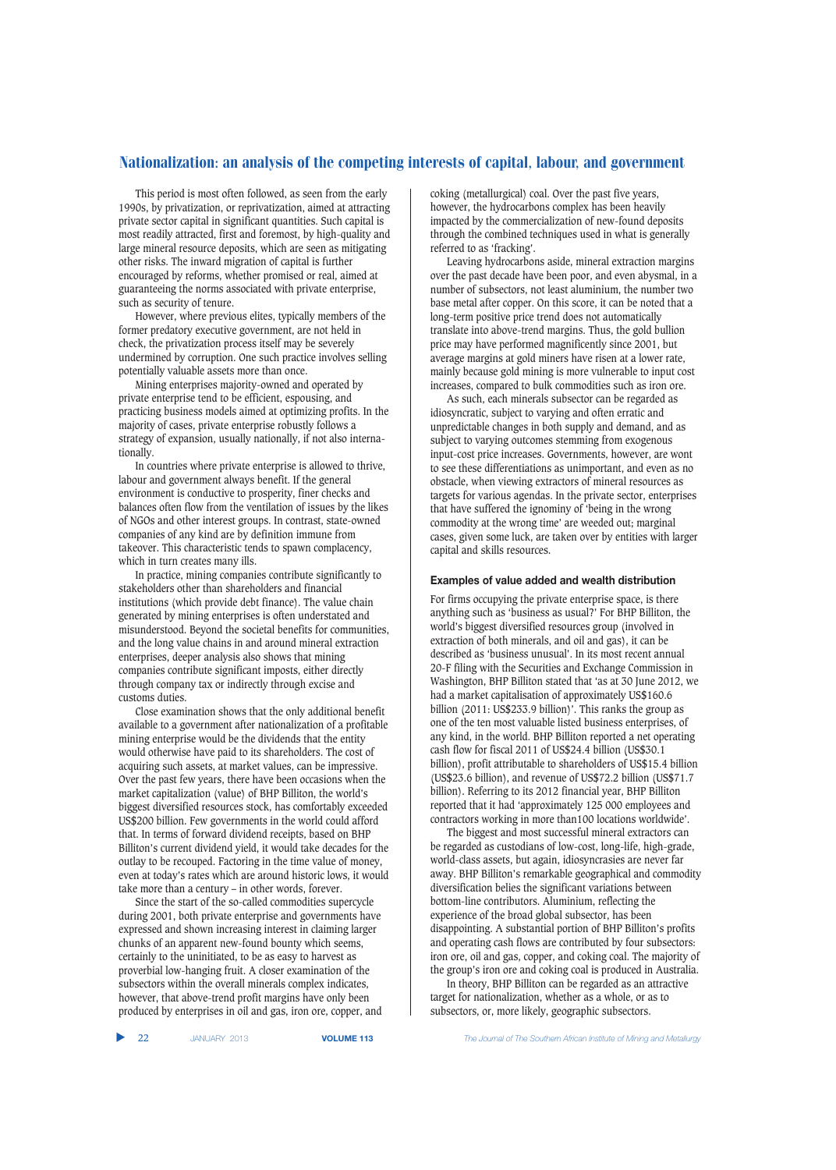This period is most often followed, as seen from the early 1990s, by privatization, or reprivatization, aimed at attracting private sector capital in significant quantities. Such capital is most readily attracted, first and foremost, by high-quality and large mineral resource deposits, which are seen as mitigating other risks. The inward migration of capital is further encouraged by reforms, whether promised or real, aimed at guaranteeing the norms associated with private enterprise, such as security of tenure.

However, where previous elites, typically members of the former predatory executive government, are not held in check, the privatization process itself may be severely undermined by corruption. One such practice involves selling potentially valuable assets more than once.

Mining enterprises majority-owned and operated by private enterprise tend to be efficient, espousing, and practicing business models aimed at optimizing profits. In the majority of cases, private enterprise robustly follows a strategy of expansion, usually nationally, if not also internationally.

In countries where private enterprise is allowed to thrive, labour and government always benefit. If the general environment is conductive to prosperity, finer checks and balances often flow from the ventilation of issues by the likes of NGOs and other interest groups. In contrast, state-owned companies of any kind are by definition immune from takeover. This characteristic tends to spawn complacency, which in turn creates many ills.

In practice, mining companies contribute significantly to stakeholders other than shareholders and financial institutions (which provide debt finance). The value chain generated by mining enterprises is often understated and misunderstood. Beyond the societal benefits for communities, and the long value chains in and around mineral extraction enterprises, deeper analysis also shows that mining companies contribute significant imposts, either directly through company tax or indirectly through excise and customs duties.

Close examination shows that the only additional benefit available to a government after nationalization of a profitable mining enterprise would be the dividends that the entity would otherwise have paid to its shareholders. The cost of acquiring such assets, at market values, can be impressive. Over the past few years, there have been occasions when the market capitalization (value) of BHP Billiton, the world's biggest diversified resources stock, has comfortably exceeded US\$200 billion. Few governments in the world could afford that. In terms of forward dividend receipts, based on BHP Billiton's current dividend yield, it would take decades for the outlay to be recouped. Factoring in the time value of money, even at today's rates which are around historic lows, it would take more than a century – in other words, forever.

Since the start of the so-called commodities supercycle during 2001, both private enterprise and governments have expressed and shown increasing interest in claiming larger chunks of an apparent new-found bounty which seems, certainly to the uninitiated, to be as easy to harvest as proverbial low-hanging fruit. A closer examination of the subsectors within the overall minerals complex indicates, however, that above-trend profit margins have only been produced by enterprises in oil and gas, iron ore, copper, and coking (metallurgical) coal. Over the past five years, however, the hydrocarbons complex has been heavily impacted by the commercialization of new-found deposits through the combined techniques used in what is generally referred to as 'fracking'.

Leaving hydrocarbons aside, mineral extraction margins over the past decade have been poor, and even abysmal, in a number of subsectors, not least aluminium, the number two base metal after copper. On this score, it can be noted that a long-term positive price trend does not automatically translate into above-trend margins. Thus, the gold bullion price may have performed magnificently since 2001, but average margins at gold miners have risen at a lower rate, mainly because gold mining is more vulnerable to input cost increases, compared to bulk commodities such as iron ore.

As such, each minerals subsector can be regarded as idiosyncratic, subject to varying and often erratic and unpredictable changes in both supply and demand, and as subject to varying outcomes stemming from exogenous input-cost price increases. Governments, however, are wont to see these differentiations as unimportant, and even as no obstacle, when viewing extractors of mineral resources as targets for various agendas. In the private sector, enterprises that have suffered the ignominy of 'being in the wrong commodity at the wrong time' are weeded out; marginal cases, given some luck, are taken over by entities with larger capital and skills resources.

## **Examples of value added and wealth distribution**

For firms occupying the private enterprise space, is there anything such as 'business as usual?' For BHP Billiton, the world's biggest diversified resources group (involved in extraction of both minerals, and oil and gas), it can be described as 'business unusual'. In its most recent annual 20-F filing with the Securities and Exchange Commission in Washington, BHP Billiton stated that 'as at 30 June 2012, we had a market capitalisation of approximately US\$160.6 billion (2011: US\$233.9 billion)'. This ranks the group as one of the ten most valuable listed business enterprises, of any kind, in the world. BHP Billiton reported a net operating cash flow for fiscal 2011 of US\$24.4 billion (US\$30.1 billion), profit attributable to shareholders of US\$15.4 billion (US\$23.6 billion), and revenue of US\$72.2 billion (US\$71.7 billion). Referring to its 2012 financial year, BHP Billiton reported that it had 'approximately 125 000 employees and contractors working in more than100 locations worldwide'.

The biggest and most successful mineral extractors can be regarded as custodians of low-cost, long-life, high-grade, world-class assets, but again, idiosyncrasies are never far away. BHP Billiton's remarkable geographical and commodity diversification belies the significant variations between bottom-line contributors. Aluminium, reflecting the experience of the broad global subsector, has been disappointing. A substantial portion of BHP Billiton's profits and operating cash flows are contributed by four subsectors: iron ore, oil and gas, copper, and coking coal. The majority of the group's iron ore and coking coal is produced in Australia.

In theory, BHP Billiton can be regarded as an attractive target for nationalization, whether as a whole, or as to subsectors, or, more likely, geographic subsectors.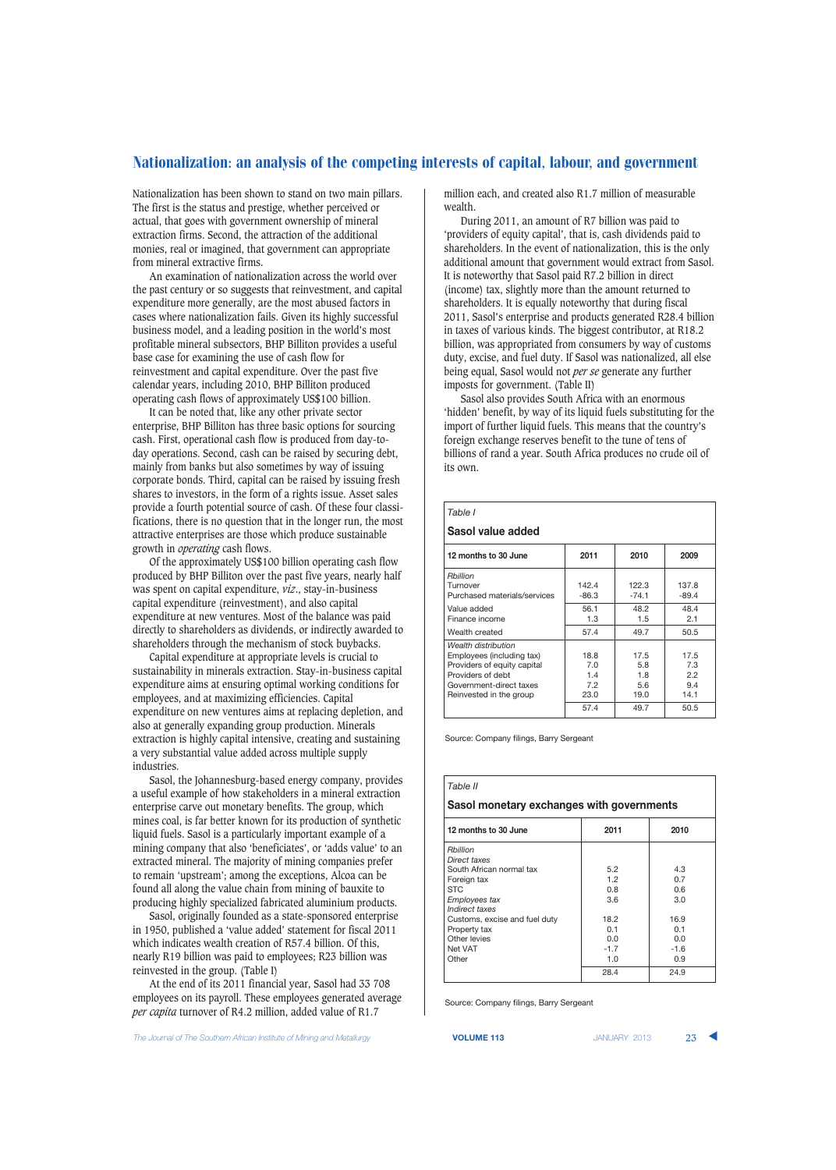Nationalization has been shown to stand on two main pillars. The first is the status and prestige, whether perceived or actual, that goes with government ownership of mineral extraction firms. Second, the attraction of the additional monies, real or imagined, that government can appropriate from mineral extractive firms.

An examination of nationalization across the world over the past century or so suggests that reinvestment, and capital expenditure more generally, are the most abused factors in cases where nationalization fails. Given its highly successful business model, and a leading position in the world's most profitable mineral subsectors, BHP Billiton provides a useful base case for examining the use of cash flow for reinvestment and capital expenditure. Over the past five calendar years, including 2010, BHP Billiton produced operating cash flows of approximately US\$100 billion.

It can be noted that, like any other private sector enterprise, BHP Billiton has three basic options for sourcing cash. First, operational cash flow is produced from day-today operations. Second, cash can be raised by securing debt, mainly from banks but also sometimes by way of issuing corporate bonds. Third, capital can be raised by issuing fresh shares to investors, in the form of a rights issue. Asset sales provide a fourth potential source of cash. Of these four classifications, there is no question that in the longer run, the most attractive enterprises are those which produce sustainable growth in *operating* cash flows.

Of the approximately US\$100 billion operating cash flow produced by BHP Billiton over the past five years, nearly half was spent on capital expenditure, *viz*., stay-in-business capital expenditure (reinvestment), and also capital expenditure at new ventures. Most of the balance was paid directly to shareholders as dividends, or indirectly awarded to shareholders through the mechanism of stock buybacks.

Capital expenditure at appropriate levels is crucial to sustainability in minerals extraction. Stay-in-business capital expenditure aims at ensuring optimal working conditions for employees, and at maximizing efficiencies. Capital expenditure on new ventures aims at replacing depletion, and also at generally expanding group production. Minerals extraction is highly capital intensive, creating and sustaining a very substantial value added across multiple supply industries.

Sasol, the Johannesburg-based energy company, provides a useful example of how stakeholders in a mineral extraction enterprise carve out monetary benefits. The group, which mines coal, is far better known for its production of synthetic liquid fuels. Sasol is a particularly important example of a mining company that also 'beneficiates', or 'adds value' to an extracted mineral. The majority of mining companies prefer to remain 'upstream'; among the exceptions, Alcoa can be found all along the value chain from mining of bauxite to producing highly specialized fabricated aluminium products.

Sasol, originally founded as a state-sponsored enterprise in 1950, published a 'value added' statement for fiscal 2011 which indicates wealth creation of R57.4 billion. Of this, nearly R19 billion was paid to employees; R23 billion was reinvested in the group. (Table I)

At the end of its 2011 financial year, Sasol had 33 708 employees on its payroll. These employees generated average *per capita* turnover of R4.2 million, added value of R1.7

million each, and created also R1.7 million of measurable wealth.

During 2011, an amount of R7 billion was paid to 'providers of equity capital', that is, cash dividends paid to shareholders. In the event of nationalization, this is the only additional amount that government would extract from Sasol. It is noteworthy that Sasol paid R7.2 billion in direct (income) tax, slightly more than the amount returned to shareholders. It is equally noteworthy that during fiscal 2011, Sasol's enterprise and products generated R28.4 billion in taxes of various kinds. The biggest contributor, at R18.2 billion, was appropriated from consumers by way of customs duty, excise, and fuel duty. If Sasol was nationalized, all else being equal, Sasol would not *per se* generate any further imposts for government. (Table II)

Sasol also provides South Africa with an enormous 'hidden' benefit, by way of its liquid fuels substituting for the import of further liquid fuels. This means that the country's foreign exchange reserves benefit to the tune of tens of billions of rand a year. South Africa produces no crude oil of its own.

| Table I                                                                                                                                                    |                                   |                                   |                                   |  |  |  |  |
|------------------------------------------------------------------------------------------------------------------------------------------------------------|-----------------------------------|-----------------------------------|-----------------------------------|--|--|--|--|
| Sasol value added                                                                                                                                          |                                   |                                   |                                   |  |  |  |  |
| 12 months to 30 June                                                                                                                                       | 2011                              | 2010                              | 2009                              |  |  |  |  |
| Rbillion<br>Turnover<br>Purchased materials/services                                                                                                       | 142.4<br>$-86.3$                  | 122.3<br>$-74.1$                  | 137.8<br>$-89.4$                  |  |  |  |  |
| Value added<br>Finance income                                                                                                                              | 56.1<br>1.3                       | 48.2<br>1.5                       | 48.4<br>2.1                       |  |  |  |  |
| Wealth created                                                                                                                                             | 57.4                              | 49.7                              | 50.5                              |  |  |  |  |
| Wealth distribution<br>Employees (including tax)<br>Providers of equity capital<br>Providers of debt<br>Government-direct taxes<br>Reinvested in the group | 18.8<br>7.0<br>1.4<br>7.2<br>23.0 | 17.5<br>5.8<br>1.8<br>5.6<br>19.0 | 17.5<br>7.3<br>2.2<br>9.4<br>14.1 |  |  |  |  |
|                                                                                                                                                            | 57.4                              | 49.7                              | 50.5                              |  |  |  |  |

Source: Company filings, Barry Sergeant

## *Table II* **Sasol monetary exchanges with governments 12 months to 30 June 2011 2010** *Rbillion Direct taxes* South African normal tax 5.2 4.3 Foreign tax  $1.2$  0.7<br>STC 0.8 0.6 STC 0.8 0.6 *Employees tax* 3.6 3.0 *Indirect taxes* Customs, excise and fuel duty | 18.2 | 16.9 Property tax  $\begin{array}{|c|c|c|c|c|}\n\hline\n\text{Chapter 1:} & & & & 0.1 & & 0.1 \\
\hline\n\text{Other levels} & & & & 0.0 & & 0.0 \\
\hline\n\end{array}$ Other levies Net VAT -1.7 -1.6 Other 1.0 0.9 28.4 24.9

Source: Company filings, Barry Sergeant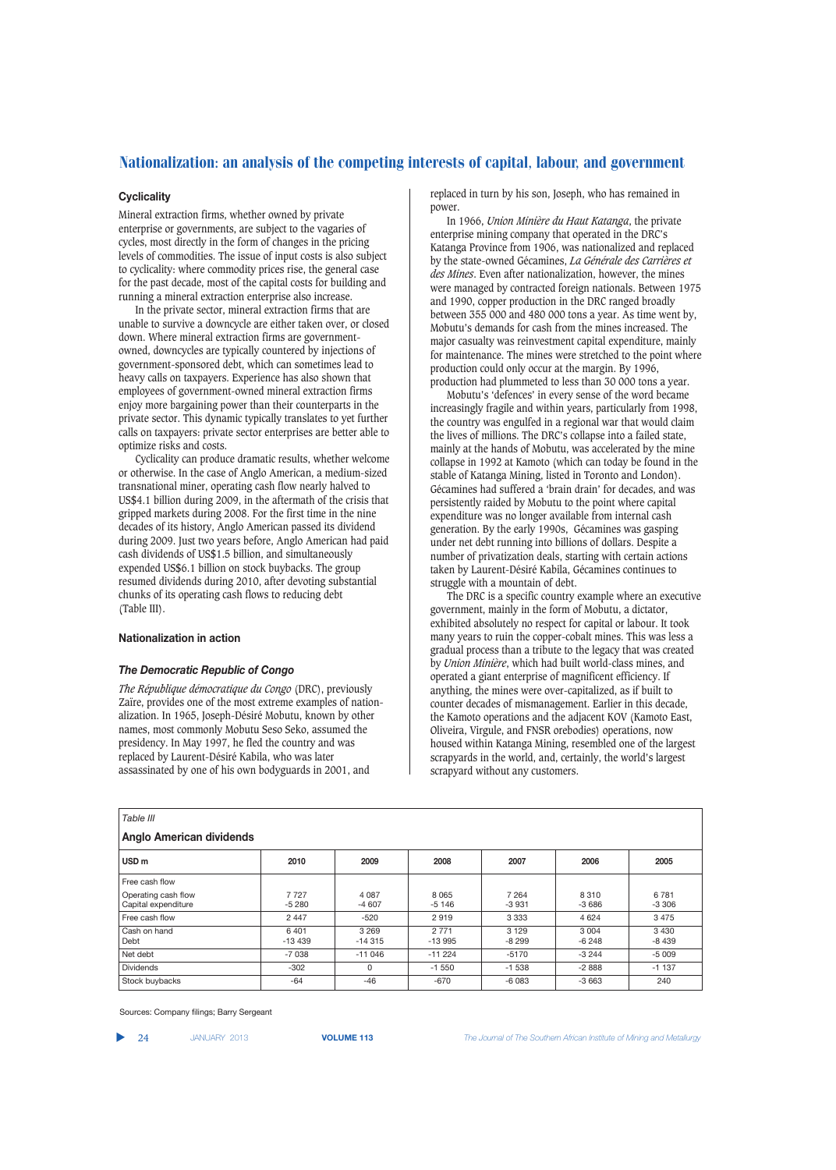## **Cyclicality**

Mineral extraction firms, whether owned by private enterprise or governments, are subject to the vagaries of cycles, most directly in the form of changes in the pricing levels of commodities. The issue of input costs is also subject to cyclicality: where commodity prices rise, the general case for the past decade, most of the capital costs for building and running a mineral extraction enterprise also increase.

In the private sector, mineral extraction firms that are unable to survive a downcycle are either taken over, or closed down. Where mineral extraction firms are governmentowned, downcycles are typically countered by injections of government-sponsored debt, which can sometimes lead to heavy calls on taxpayers. Experience has also shown that employees of government-owned mineral extraction firms enjoy more bargaining power than their counterparts in the private sector. This dynamic typically translates to yet further calls on taxpayers: private sector enterprises are better able to optimize risks and costs.

Cyclicality can produce dramatic results, whether welcome or otherwise. In the case of Anglo American, a medium-sized transnational miner, operating cash flow nearly halved to US\$4.1 billion during 2009, in the aftermath of the crisis that gripped markets during 2008. For the first time in the nine decades of its history, Anglo American passed its dividend during 2009. Just two years before, Anglo American had paid cash dividends of US\$1.5 billion, and simultaneously expended US\$6.1 billion on stock buybacks. The group resumed dividends during 2010, after devoting substantial chunks of its operating cash flows to reducing debt (Table III).

## **Nationalization in action**

## *The Democratic Republic of Congo*

*The République démocratique du Congo* (DRC), previously Zaïre, provides one of the most extreme examples of nationalization. In 1965, Joseph-Désiré Mobutu, known by other names, most commonly Mobutu Seso Seko, assumed the presidency. In May 1997, he fled the country and was replaced by Laurent-Désiré Kabila, who was later assassinated by one of his own bodyguards in 2001, and

replaced in turn by his son, Joseph, who has remained in power.

In 1966, *Union Minière du Haut Katanga*, the private enterprise mining company that operated in the DRC's Katanga Province from 1906, was nationalized and replaced by the state-owned Gécamines, *La Générale des Carrières et des Mines*. Even after nationalization, however, the mines were managed by contracted foreign nationals. Between 1975 and 1990, copper production in the DRC ranged broadly between 355 000 and 480 000 tons a year. As time went by, Mobutu's demands for cash from the mines increased. The major casualty was reinvestment capital expenditure, mainly for maintenance. The mines were stretched to the point where production could only occur at the margin. By 1996, production had plummeted to less than 30 000 tons a year.

Mobutu's 'defences' in every sense of the word became increasingly fragile and within years, particularly from 1998, the country was engulfed in a regional war that would claim the lives of millions. The DRC's collapse into a failed state, mainly at the hands of Mobutu, was accelerated by the mine collapse in 1992 at Kamoto (which can today be found in the stable of Katanga Mining, listed in Toronto and London). Gécamines had suffered a 'brain drain' for decades, and was persistently raided by Mobutu to the point where capital expenditure was no longer available from internal cash generation. By the early 1990s, Gécamines was gasping under net debt running into billions of dollars. Despite a number of privatization deals, starting with certain actions taken by Laurent-Désiré Kabila, Gécamines continues to struggle with a mountain of debt.

The DRC is a specific country example where an executive government, mainly in the form of Mobutu, a dictator, exhibited absolutely no respect for capital or labour. It took many years to ruin the copper-cobalt mines. This was less a gradual process than a tribute to the legacy that was created by *Union Minière*, which had built world-class mines, and operated a giant enterprise of magnificent efficiency. If anything, the mines were over-capitalized, as if built to counter decades of mismanagement. Earlier in this decade, the Kamoto operations and the adjacent KOV (Kamoto East, Oliveira, Virgule, and FNSR orebodies) operations, now housed within Katanga Mining, resembled one of the largest scrapyards in the world, and, certainly, the world's largest scrapyard without any customers.

| Table III                                  |                  |                     |                     |                    |                    |                    |  |  |
|--------------------------------------------|------------------|---------------------|---------------------|--------------------|--------------------|--------------------|--|--|
| <b>Anglo American dividends</b>            |                  |                     |                     |                    |                    |                    |  |  |
| USD <sub>m</sub>                           | 2010             | 2009                | 2008                | 2007               | 2006               | 2005               |  |  |
| Free cash flow                             |                  |                     |                     |                    |                    |                    |  |  |
| Operating cash flow<br>Capital expenditure | 7727<br>$-5280$  | 4 0 8 7<br>$-4607$  | 8065<br>$-5146$     | 7 2 6 4<br>$-3931$ | 8310<br>$-3686$    | 6 7 8 1<br>$-3306$ |  |  |
| Free cash flow                             | 2 4 4 7          | $-520$              | 2919                | 3 3 3 3            | 4 6 24             | 3 4 7 5            |  |  |
| Cash on hand<br>Debt                       | 6401<br>$-13439$ | 3 2 6 9<br>$-14315$ | 2 7 7 1<br>$-13995$ | 3 1 2 9<br>$-8299$ | 3 0 0 4<br>$-6248$ | 3 4 3 0<br>-8 439  |  |  |
| Net debt                                   | $-7038$          | $-11046$            | $-11224$            | $-5170$            | $-3244$            | $-5009$            |  |  |
| <b>Dividends</b>                           | $-302$           | 0                   | $-1550$             | $-1538$            | $-2888$            | $-1137$            |  |  |
| Stock buybacks                             | $-64$            | $-46$               | $-670$              | $-6083$            | $-3663$            | 240                |  |  |

Sources: Company filings; Barry Sergeant

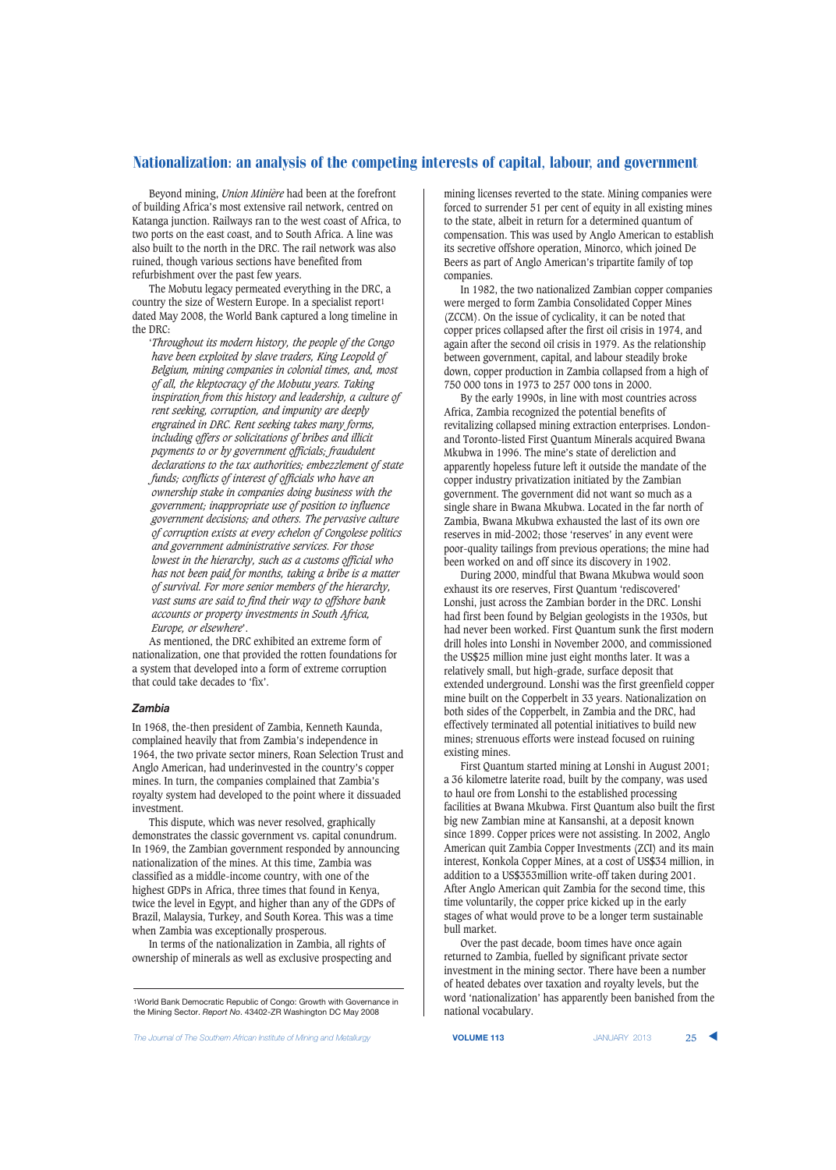Beyond mining, *Union Minière* had been at the forefront of building Africa's most extensive rail network, centred on Katanga junction. Railways ran to the west coast of Africa, to two ports on the east coast, and to South Africa. A line was also built to the north in the DRC. The rail network was also ruined, though various sections have benefited from refurbishment over the past few years.

The Mobutu legacy permeated everything in the DRC, a country the size of Western Europe. In a specialist report1 dated May 2008, the World Bank captured a long timeline in the DRC:

'*Throughout its modern history, the people of the Congo have been exploited by slave traders, King Leopold of Belgium, mining companies in colonial times, and, most of all, the kleptocracy of the Mobutu years. Taking inspiration from this history and leadership, a culture of rent seeking, corruption, and impunity are deeply engrained in DRC. Rent seeking takes many forms, including offers or solicitations of bribes and illicit payments to or by government officials; fraudulent declarations to the tax authorities; embezzlement of state funds; conflicts of interest of officials who have an ownership stake in companies doing business with the government; inappropriate use of position to influence government decisions; and others. The pervasive culture of corruption exists at every echelon of Congolese politics and government administrative services. For those lowest in the hierarchy, such as a customs official who has not been paid for months, taking a bribe is a matter of survival. For more senior members of the hierarchy, vast sums are said to find their way to offshore bank accounts or property investments in South Africa, Europe, or elsewhere*'.

As mentioned, the DRC exhibited an extreme form of nationalization, one that provided the rotten foundations for a system that developed into a form of extreme corruption that could take decades to 'fix'.

#### *Zambia*

In 1968, the-then president of Zambia, Kenneth Kaunda, complained heavily that from Zambia's independence in 1964, the two private sector miners, Roan Selection Trust and Anglo American, had underinvested in the country's copper mines. In turn, the companies complained that Zambia's royalty system had developed to the point where it dissuaded investment.

This dispute, which was never resolved, graphically demonstrates the classic government vs. capital conundrum. In 1969, the Zambian government responded by announcing nationalization of the mines. At this time, Zambia was classified as a middle-income country, with one of the highest GDPs in Africa, three times that found in Kenya, twice the level in Egypt, and higher than any of the GDPs of Brazil, Malaysia, Turkey, and South Korea. This was a time when Zambia was exceptionally prosperous.

In terms of the nationalization in Zambia, all rights of ownership of minerals as well as exclusive prospecting and mining licenses reverted to the state. Mining companies were forced to surrender 51 per cent of equity in all existing mines to the state, albeit in return for a determined quantum of compensation. This was used by Anglo American to establish its secretive offshore operation, Minorco, which joined De Beers as part of Anglo American's tripartite family of top companies.

In 1982, the two nationalized Zambian copper companies were merged to form Zambia Consolidated Copper Mines (ZCCM). On the issue of cyclicality, it can be noted that copper prices collapsed after the first oil crisis in 1974, and again after the second oil crisis in 1979. As the relationship between government, capital, and labour steadily broke down, copper production in Zambia collapsed from a high of 750 000 tons in 1973 to 257 000 tons in 2000.

By the early 1990s, in line with most countries across Africa, Zambia recognized the potential benefits of revitalizing collapsed mining extraction enterprises. Londonand Toronto-listed First Quantum Minerals acquired Bwana Mkubwa in 1996. The mine's state of dereliction and apparently hopeless future left it outside the mandate of the copper industry privatization initiated by the Zambian government. The government did not want so much as a single share in Bwana Mkubwa. Located in the far north of Zambia, Bwana Mkubwa exhausted the last of its own ore reserves in mid-2002; those 'reserves' in any event were poor-quality tailings from previous operations; the mine had been worked on and off since its discovery in 1902.

During 2000, mindful that Bwana Mkubwa would soon exhaust its ore reserves, First Quantum 'rediscovered' Lonshi, just across the Zambian border in the DRC. Lonshi had first been found by Belgian geologists in the 1930s, but had never been worked. First Quantum sunk the first modern drill holes into Lonshi in November 2000, and commissioned the US\$25 million mine just eight months later. It was a relatively small, but high-grade, surface deposit that extended underground. Lonshi was the first greenfield copper mine built on the Copperbelt in 33 years. Nationalization on both sides of the Copperbelt, in Zambia and the DRC, had effectively terminated all potential initiatives to build new mines; strenuous efforts were instead focused on ruining existing mines.

First Quantum started mining at Lonshi in August 2001; a 36 kilometre laterite road, built by the company, was used to haul ore from Lonshi to the established processing facilities at Bwana Mkubwa. First Quantum also built the first big new Zambian mine at Kansanshi, at a deposit known since 1899. Copper prices were not assisting. In 2002, Anglo American quit Zambia Copper Investments (ZCI) and its main interest, Konkola Copper Mines, at a cost of US\$34 million, in addition to a US\$353million write-off taken during 2001. After Anglo American quit Zambia for the second time, this time voluntarily, the copper price kicked up in the early stages of what would prove to be a longer term sustainable bull market.

Over the past decade, boom times have once again returned to Zambia, fuelled by significant private sector investment in the mining sector. There have been a number of heated debates over taxation and royalty levels, but the word 'nationalization' has apparently been banished from the national vocabulary.

**The Journal of The Southern African Institute of Mining and Metallurgy <b>VOLUME 113 VOLUME 113** JANUARY 2013 25

<sup>1</sup>World Bank Democratic Republic of Congo: Growth with Governance in the Mining Sector. *Report No*. 43402-ZR Washington DC May 2008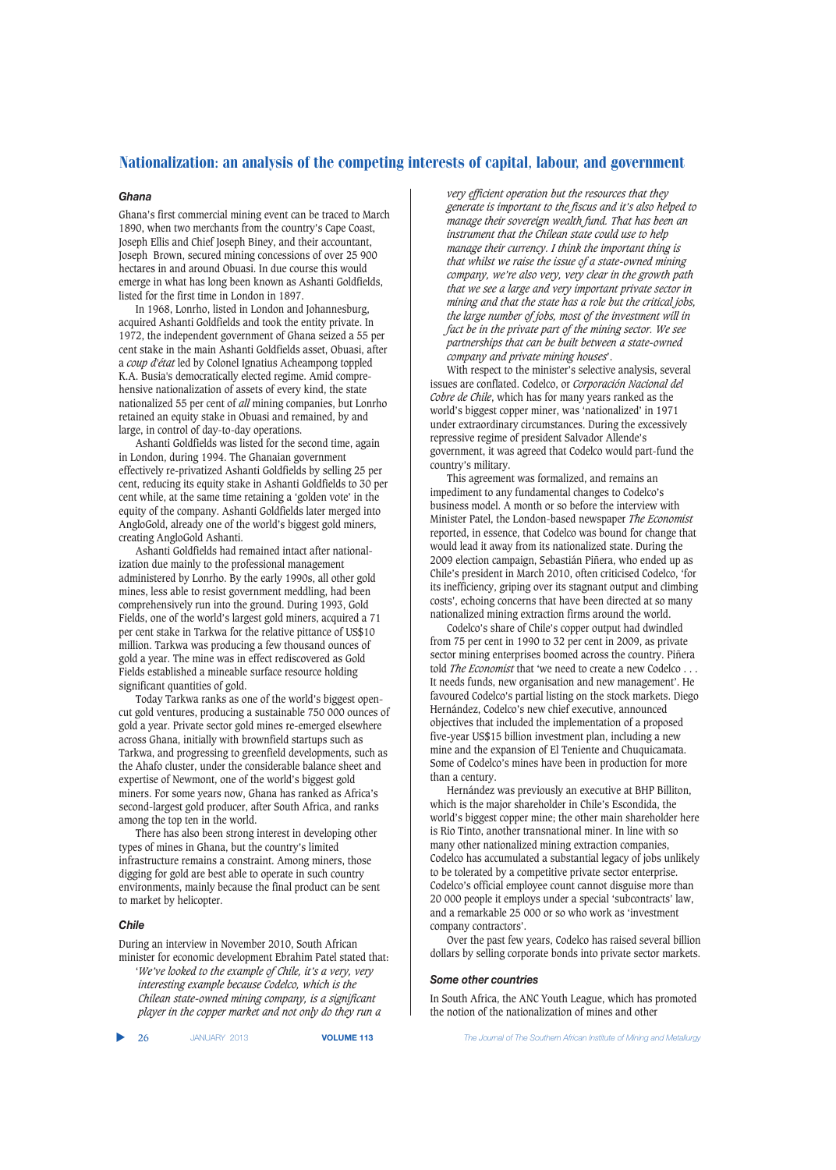## *Ghana*

Ghana's first commercial mining event can be traced to March 1890, when two merchants from the country's Cape Coast, Joseph Ellis and Chief Joseph Biney, and their accountant, Joseph Brown, secured mining concessions of over 25 900 hectares in and around Obuasi. In due course this would emerge in what has long been known as Ashanti Goldfields, listed for the first time in London in 1897.

In 1968, Lonrho, listed in London and Johannesburg, acquired Ashanti Goldfields and took the entity private. In 1972, the independent government of Ghana seized a 55 per cent stake in the main Ashanti Goldfields asset, Obuasi, after a *coup d'état* led by Colonel Ignatius Acheampong toppled K.A. Busia's democratically elected regime. Amid comprehensive nationalization of assets of every kind, the state nationalized 55 per cent of *all* mining companies, but Lonrho retained an equity stake in Obuasi and remained, by and large, in control of day-to-day operations.

Ashanti Goldfields was listed for the second time, again in London, during 1994. The Ghanaian government effectively re-privatized Ashanti Goldfields by selling 25 per cent, reducing its equity stake in Ashanti Goldfields to 30 per cent while, at the same time retaining a 'golden vote' in the equity of the company. Ashanti Goldfields later merged into AngloGold, already one of the world's biggest gold miners, creating AngloGold Ashanti.

Ashanti Goldfields had remained intact after nationalization due mainly to the professional management administered by Lonrho. By the early 1990s, all other gold mines, less able to resist government meddling, had been comprehensively run into the ground. During 1993, Gold Fields, one of the world's largest gold miners, acquired a 71 per cent stake in Tarkwa for the relative pittance of US\$10 million. Tarkwa was producing a few thousand ounces of gold a year. The mine was in effect rediscovered as Gold Fields established a mineable surface resource holding significant quantities of gold.

Today Tarkwa ranks as one of the world's biggest opencut gold ventures, producing a sustainable 750 000 ounces of gold a year. Private sector gold mines re-emerged elsewhere across Ghana, initially with brownfield startups such as Tarkwa, and progressing to greenfield developments, such as the Ahafo cluster, under the considerable balance sheet and expertise of Newmont, one of the world's biggest gold miners. For some years now, Ghana has ranked as Africa's second-largest gold producer, after South Africa, and ranks among the top ten in the world.

There has also been strong interest in developing other types of mines in Ghana, but the country's limited infrastructure remains a constraint. Among miners, those digging for gold are best able to operate in such country environments, mainly because the final product can be sent to market by helicopter.

## *Chile*

During an interview in November 2010, South African minister for economic development Ebrahim Patel stated that:

'*We've looked to the example of Chile, it's a very, very interesting example because Codelco, which is the Chilean state-owned mining company, is a significant player in the copper market and not only do they run a* 

*very efficient operation but the resources that they generate is important to the fiscus and it's also helped to manage their sovereign wealth fund. That has been an instrument that the Chilean state could use to help manage their currency. I think the important thing is that whilst we raise the issue of a state-owned mining company, we're also very, very clear in the growth path that we see a large and very important private sector in mining and that the state has a role but the critical jobs, the large number of jobs, most of the investment will in fact be in the private part of the mining sector. We see partnerships that can be built between a state-owned company and private mining houses*'.

With respect to the minister's selective analysis, several issues are conflated. Codelco, or *Corporación Nacional del Cobre de Chile*, which has for many years ranked as the world's biggest copper miner, was 'nationalized' in 1971 under extraordinary circumstances. During the excessively repressive regime of president Salvador Allende's government, it was agreed that Codelco would part-fund the country's military.

This agreement was formalized, and remains an impediment to any fundamental changes to Codelco's business model. A month or so before the interview with Minister Patel, the London-based newspaper *The Economist* reported, in essence, that Codelco was bound for change that would lead it away from its nationalized state. During the 2009 election campaign, Sebastián Piñera, who ended up as Chile's president in March 2010, often criticised Codelco, 'for its inefficiency, griping over its stagnant output and climbing costs', echoing concerns that have been directed at so many nationalized mining extraction firms around the world.

Codelco's share of Chile's copper output had dwindled from 75 per cent in 1990 to 32 per cent in 2009, as private sector mining enterprises boomed across the country. Piñera told *The Economist* that 'we need to create a new Codelco . . . It needs funds, new organisation and new management'. He favoured Codelco's partial listing on the stock markets. Diego Hernández, Codelco's new chief executive, announced objectives that included the implementation of a proposed five-year US\$15 billion investment plan, including a new mine and the expansion of El Teniente and Chuquicamata. Some of Codelco's mines have been in production for more than a century.

Hernández was previously an executive at BHP Billiton, which is the major shareholder in Chile's Escondida, the world's biggest copper mine; the other main shareholder here is Rio Tinto, another transnational miner. In line with so many other nationalized mining extraction companies, Codelco has accumulated a substantial legacy of jobs unlikely to be tolerated by a competitive private sector enterprise. Codelco's official employee count cannot disguise more than 20 000 people it employs under a special 'subcontracts' law, and a remarkable 25 000 or so who work as 'investment company contractors'.

Over the past few years, Codelco has raised several billion dollars by selling corporate bonds into private sector markets.

#### *Some other countries*

In South Africa, the ANC Youth League, which has promoted the notion of the nationalization of mines and other

▲

26 JANUARY 2013 **VOLUME 113** *The Journal of The Southern African Institute of Mining and Metallurgy*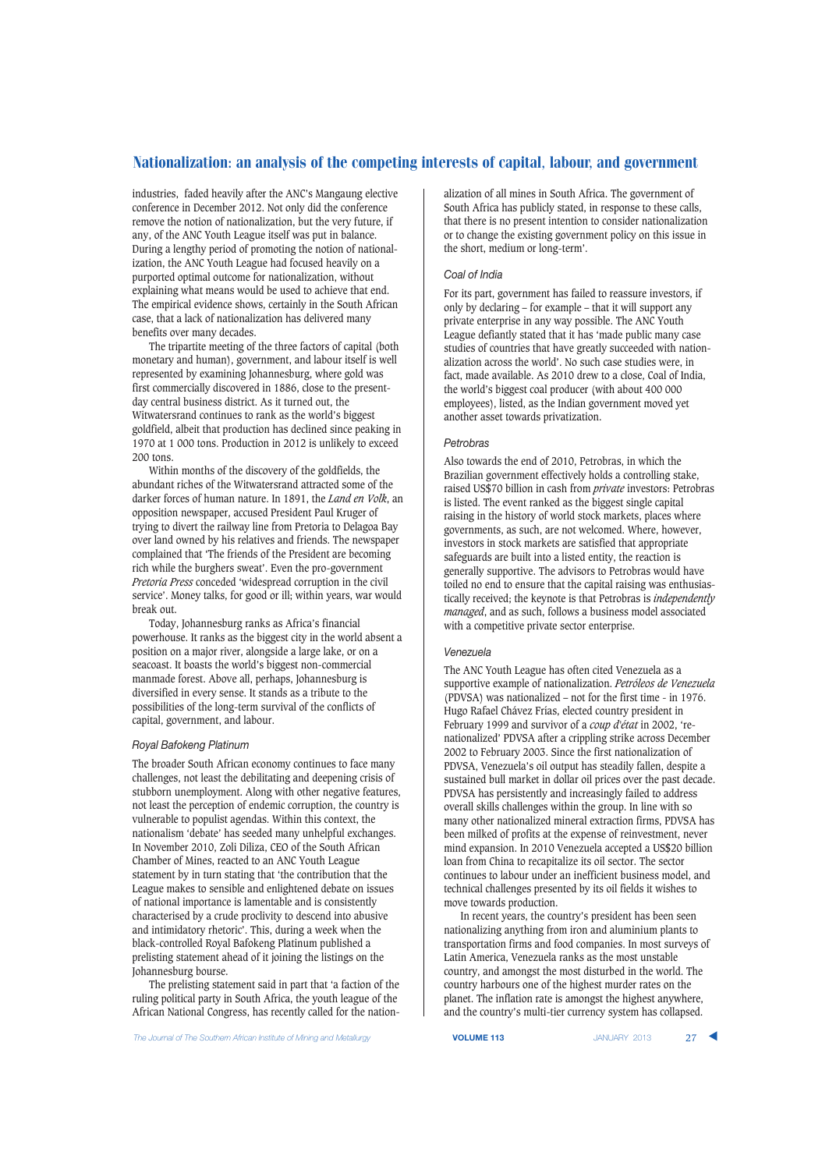industries, faded heavily after the ANC's Mangaung elective conference in December 2012. Not only did the conference remove the notion of nationalization, but the very future, if any, of the ANC Youth League itself was put in balance. During a lengthy period of promoting the notion of nationalization, the ANC Youth League had focused heavily on a purported optimal outcome for nationalization, without explaining what means would be used to achieve that end. The empirical evidence shows, certainly in the South African case, that a lack of nationalization has delivered many benefits over many decades.

The tripartite meeting of the three factors of capital (both monetary and human), government, and labour itself is well represented by examining Johannesburg, where gold was first commercially discovered in 1886, close to the presentday central business district. As it turned out, the Witwatersrand continues to rank as the world's biggest goldfield, albeit that production has declined since peaking in 1970 at 1 000 tons. Production in 2012 is unlikely to exceed 200 tons.

Within months of the discovery of the goldfields, the abundant riches of the Witwatersrand attracted some of the darker forces of human nature. In 1891, the *Land en Volk*, an opposition newspaper, accused President Paul Kruger of trying to divert the railway line from Pretoria to Delagoa Bay over land owned by his relatives and friends. The newspaper complained that 'The friends of the President are becoming rich while the burghers sweat'. Even the pro-government *Pretoria Press* conceded 'widespread corruption in the civil service'. Money talks, for good or ill; within years, war would break out.

Today, Johannesburg ranks as Africa's financial powerhouse. It ranks as the biggest city in the world absent a position on a major river, alongside a large lake, or on a seacoast. It boasts the world's biggest non-commercial manmade forest. Above all, perhaps, Johannesburg is diversified in every sense. It stands as a tribute to the possibilities of the long-term survival of the conflicts of capital, government, and labour.

## *Royal Bafokeng Platinum*

The broader South African economy continues to face many challenges, not least the debilitating and deepening crisis of stubborn unemployment. Along with other negative features, not least the perception of endemic corruption, the country is vulnerable to populist agendas. Within this context, the nationalism 'debate' has seeded many unhelpful exchanges. In November 2010, Zoli Diliza, CEO of the South African Chamber of Mines, reacted to an ANC Youth League statement by in turn stating that 'the contribution that the League makes to sensible and enlightened debate on issues of national importance is lamentable and is consistently characterised by a crude proclivity to descend into abusive and intimidatory rhetoric'. This, during a week when the black-controlled Royal Bafokeng Platinum published a prelisting statement ahead of it joining the listings on the Johannesburg bourse.

The prelisting statement said in part that 'a faction of the ruling political party in South Africa, the youth league of the African National Congress, has recently called for the nationalization of all mines in South Africa. The government of South Africa has publicly stated, in response to these calls, that there is no present intention to consider nationalization or to change the existing government policy on this issue in the short, medium or long-term'.

### *Coal of India*

For its part, government has failed to reassure investors, if only by declaring – for example – that it will support any private enterprise in any way possible. The ANC Youth League defiantly stated that it has 'made public many case studies of countries that have greatly succeeded with nationalization across the world'. No such case studies were, in fact, made available. As 2010 drew to a close, Coal of India, the world's biggest coal producer (with about 400 000 employees), listed, as the Indian government moved yet another asset towards privatization.

#### *Petrobras*

Also towards the end of 2010, Petrobras, in which the Brazilian government effectively holds a controlling stake, raised US\$70 billion in cash from *private* investors: Petrobras is listed. The event ranked as the biggest single capital raising in the history of world stock markets, places where governments, as such, are not welcomed. Where, however, investors in stock markets are satisfied that appropriate safeguards are built into a listed entity, the reaction is generally supportive. The advisors to Petrobras would have toiled no end to ensure that the capital raising was enthusiastically received; the keynote is that Petrobras is *independently managed*, and as such, follows a business model associated with a competitive private sector enterprise.

# *Venezuela*

The ANC Youth League has often cited Venezuela as a supportive example of nationalization. *Petróleos de Venezuela* (PDVSA) was nationalized – not for the first time - in 1976. Hugo Rafael Chávez Frías, elected country president in February 1999 and survivor of a *coup d'état* in 2002, 'renationalized' PDVSA after a crippling strike across December 2002 to February 2003. Since the first nationalization of PDVSA, Venezuela's oil output has steadily fallen, despite a sustained bull market in dollar oil prices over the past decade. PDVSA has persistently and increasingly failed to address overall skills challenges within the group. In line with so many other nationalized mineral extraction firms, PDVSA has been milked of profits at the expense of reinvestment, never mind expansion. In 2010 Venezuela accepted a US\$20 billion loan from China to recapitalize its oil sector. The sector continues to labour under an inefficient business model, and technical challenges presented by its oil fields it wishes to move towards production.

In recent years, the country's president has been seen nationalizing anything from iron and aluminium plants to transportation firms and food companies. In most surveys of Latin America, Venezuela ranks as the most unstable country, and amongst the most disturbed in the world. The country harbours one of the highest murder rates on the planet. The inflation rate is amongst the highest anywhere, and the country's multi-tier currency system has collapsed.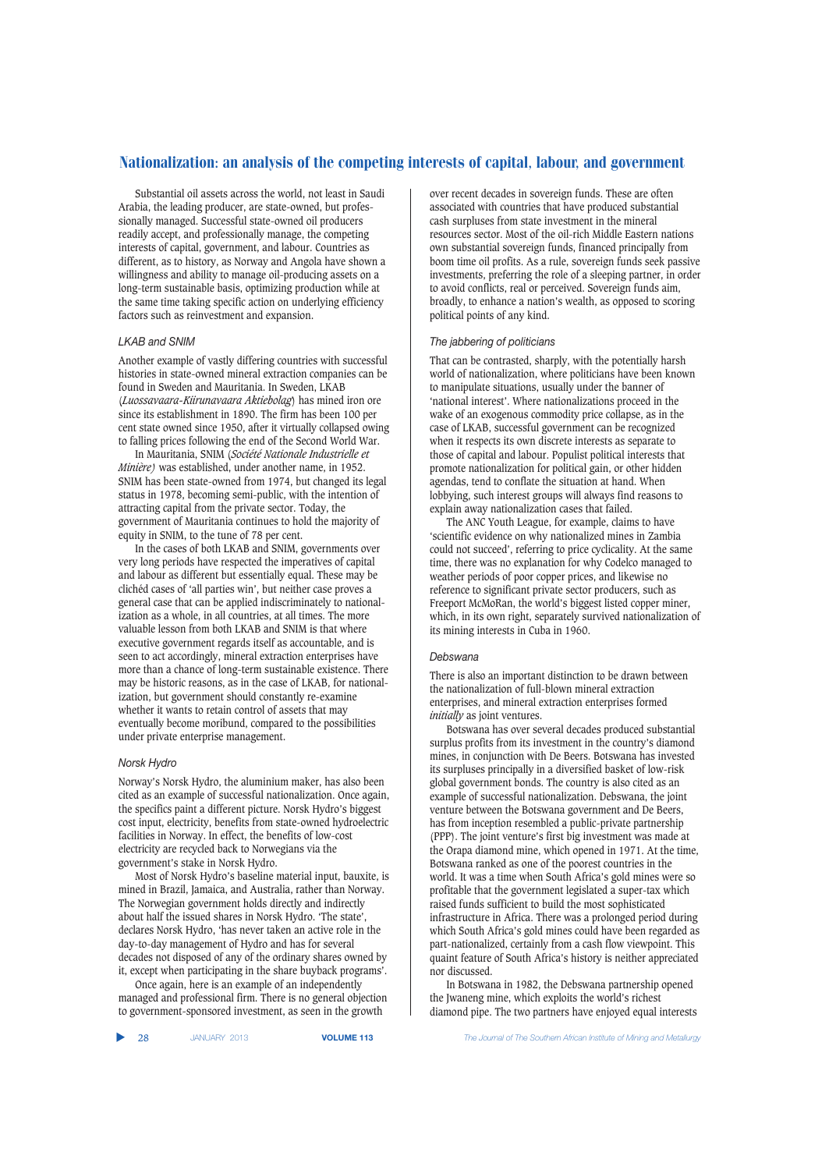Substantial oil assets across the world, not least in Saudi Arabia, the leading producer, are state-owned, but professionally managed. Successful state-owned oil producers readily accept, and professionally manage, the competing interests of capital, government, and labour. Countries as different, as to history, as Norway and Angola have shown a willingness and ability to manage oil-producing assets on a long-term sustainable basis, optimizing production while at the same time taking specific action on underlying efficiency factors such as reinvestment and expansion.

#### *LKAB and SNIM*

Another example of vastly differing countries with successful histories in state-owned mineral extraction companies can be found in Sweden and Mauritania. In Sweden, LKAB (*Luossavaara-Kiirunavaara Aktiebolag*) has mined iron ore since its establishment in 1890. The firm has been 100 per cent state owned since 1950, after it virtually collapsed owing to falling prices following the end of the Second World War.

In Mauritania, SNIM (*Société Nationale Industrielle et Minière)* was established, under another name, in 1952. SNIM has been state-owned from 1974, but changed its legal status in 1978, becoming semi-public, with the intention of attracting capital from the private sector. Today, the government of Mauritania continues to hold the majority of equity in SNIM, to the tune of 78 per cent.

In the cases of both LKAB and SNIM, governments over very long periods have respected the imperatives of capital and labour as different but essentially equal. These may be clichéd cases of 'all parties win', but neither case proves a general case that can be applied indiscriminately to nationalization as a whole, in all countries, at all times. The more valuable lesson from both LKAB and SNIM is that where executive government regards itself as accountable, and is seen to act accordingly, mineral extraction enterprises have more than a chance of long-term sustainable existence. There may be historic reasons, as in the case of LKAB, for nationalization, but government should constantly re-examine whether it wants to retain control of assets that may eventually become moribund, compared to the possibilities under private enterprise management.

#### *Norsk Hydro*

Norway's Norsk Hydro, the aluminium maker, has also been cited as an example of successful nationalization. Once again, the specifics paint a different picture. Norsk Hydro's biggest cost input, electricity, benefits from state-owned hydroelectric facilities in Norway. In effect, the benefits of low-cost electricity are recycled back to Norwegians via the government's stake in Norsk Hydro.

Most of Norsk Hydro's baseline material input, bauxite, is mined in Brazil, Jamaica, and Australia, rather than Norway. The Norwegian government holds directly and indirectly about half the issued shares in Norsk Hydro. 'The state', declares Norsk Hydro, 'has never taken an active role in the day-to-day management of Hydro and has for several decades not disposed of any of the ordinary shares owned by it, except when participating in the share buyback programs'.

Once again, here is an example of an independently managed and professional firm. There is no general objection to government-sponsored investment, as seen in the growth

over recent decades in sovereign funds. These are often associated with countries that have produced substantial cash surpluses from state investment in the mineral resources sector. Most of the oil-rich Middle Eastern nations own substantial sovereign funds, financed principally from boom time oil profits. As a rule, sovereign funds seek passive investments, preferring the role of a sleeping partner, in order to avoid conflicts, real or perceived. Sovereign funds aim, broadly, to enhance a nation's wealth, as opposed to scoring political points of any kind.

#### *The jabbering of politicians*

That can be contrasted, sharply, with the potentially harsh world of nationalization, where politicians have been known to manipulate situations, usually under the banner of 'national interest'. Where nationalizations proceed in the wake of an exogenous commodity price collapse, as in the case of LKAB, successful government can be recognized when it respects its own discrete interests as separate to those of capital and labour. Populist political interests that promote nationalization for political gain, or other hidden agendas, tend to conflate the situation at hand. When lobbying, such interest groups will always find reasons to explain away nationalization cases that failed.

The ANC Youth League, for example, claims to have 'scientific evidence on why nationalized mines in Zambia could not succeed', referring to price cyclicality. At the same time, there was no explanation for why Codelco managed to weather periods of poor copper prices, and likewise no reference to significant private sector producers, such as Freeport McMoRan, the world's biggest listed copper miner, which, in its own right, separately survived nationalization of its mining interests in Cuba in 1960.

## *Debswana*

There is also an important distinction to be drawn between the nationalization of full-blown mineral extraction enterprises, and mineral extraction enterprises formed *initially* as joint ventures.

Botswana has over several decades produced substantial surplus profits from its investment in the country's diamond mines, in conjunction with De Beers. Botswana has invested its surpluses principally in a diversified basket of low-risk global government bonds. The country is also cited as an example of successful nationalization. Debswana, the joint venture between the Botswana government and De Beers, has from inception resembled a public-private partnership (PPP). The joint venture's first big investment was made at the Orapa diamond mine, which opened in 1971. At the time, Botswana ranked as one of the poorest countries in the world. It was a time when South Africa's gold mines were so profitable that the government legislated a super-tax which raised funds sufficient to build the most sophisticated infrastructure in Africa. There was a prolonged period during which South Africa's gold mines could have been regarded as part-nationalized, certainly from a cash flow viewpoint. This quaint feature of South Africa's history is neither appreciated nor discussed.

In Botswana in 1982, the Debswana partnership opened the Jwaneng mine, which exploits the world's richest diamond pipe. The two partners have enjoyed equal interests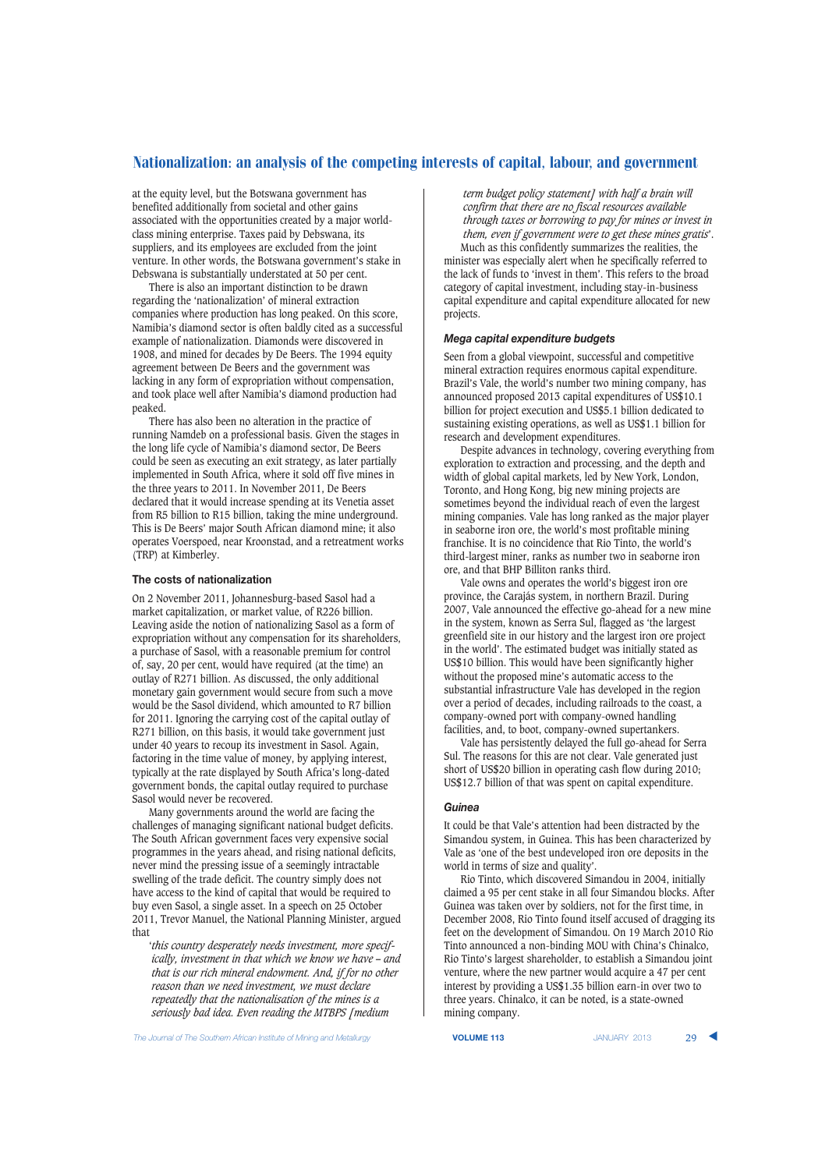at the equity level, but the Botswana government has benefited additionally from societal and other gains associated with the opportunities created by a major worldclass mining enterprise. Taxes paid by Debswana, its suppliers, and its employees are excluded from the joint venture. In other words, the Botswana government's stake in Debswana is substantially understated at 50 per cent.

There is also an important distinction to be drawn regarding the 'nationalization' of mineral extraction companies where production has long peaked. On this score, Namibia's diamond sector is often baldly cited as a successful example of nationalization. Diamonds were discovered in 1908, and mined for decades by De Beers. The 1994 equity agreement between De Beers and the government was lacking in any form of expropriation without compensation, and took place well after Namibia's diamond production had peaked.

There has also been no alteration in the practice of running Namdeb on a professional basis. Given the stages in the long life cycle of Namibia's diamond sector, De Beers could be seen as executing an exit strategy, as later partially implemented in South Africa, where it sold off five mines in the three years to 2011. In November 2011, De Beers declared that it would increase spending at its Venetia asset from R5 billion to R15 billion, taking the mine underground. This is De Beers' major South African diamond mine; it also operates Voerspoed, near Kroonstad, and a retreatment works (TRP) at Kimberley.

#### **The costs of nationalization**

On 2 November 2011, Johannesburg-based Sasol had a market capitalization, or market value, of R226 billion. Leaving aside the notion of nationalizing Sasol as a form of expropriation without any compensation for its shareholders, a purchase of Sasol, with a reasonable premium for control of, say, 20 per cent, would have required (at the time) an outlay of R271 billion. As discussed, the only additional monetary gain government would secure from such a move would be the Sasol dividend, which amounted to R7 billion for 2011. Ignoring the carrying cost of the capital outlay of R271 billion, on this basis, it would take government just under 40 years to recoup its investment in Sasol. Again, factoring in the time value of money, by applying interest, typically at the rate displayed by South Africa's long-dated government bonds, the capital outlay required to purchase Sasol would never be recovered.

Many governments around the world are facing the challenges of managing significant national budget deficits. The South African government faces very expensive social programmes in the years ahead, and rising national deficits, never mind the pressing issue of a seemingly intractable swelling of the trade deficit. The country simply does not have access to the kind of capital that would be required to buy even Sasol, a single asset. In a speech on 25 October 2011, Trevor Manuel, the National Planning Minister, argued that

'*this country desperately needs investment, more specifically, investment in that which we know we have – and that is our rich mineral endowment. And, if for no other reason than we need investment, we must declare repeatedly that the nationalisation of the mines is a seriously bad idea. Even reading the MTBPS [medium*

*term budget policy statement] with half a brain will confirm that there are no fiscal resources available through taxes or borrowing to pay for mines or invest in them, even if government were to get these mines gratis*'.

Much as this confidently summarizes the realities, the minister was especially alert when he specifically referred to the lack of funds to 'invest in them'. This refers to the broad category of capital investment, including stay-in-business capital expenditure and capital expenditure allocated for new projects.

## *Mega capital expenditure budgets*

Seen from a global viewpoint, successful and competitive mineral extraction requires enormous capital expenditure. Brazil's Vale, the world's number two mining company, has announced proposed 2013 capital expenditures of US\$10.1 billion for project execution and US\$5.1 billion dedicated to sustaining existing operations, as well as US\$1.1 billion for research and development expenditures.

Despite advances in technology, covering everything from exploration to extraction and processing, and the depth and width of global capital markets, led by New York, London, Toronto, and Hong Kong, big new mining projects are sometimes beyond the individual reach of even the largest mining companies. Vale has long ranked as the major player in seaborne iron ore, the world's most profitable mining franchise. It is no coincidence that Rio Tinto, the world's third-largest miner, ranks as number two in seaborne iron ore, and that BHP Billiton ranks third.

Vale owns and operates the world's biggest iron ore province, the Carajás system, in northern Brazil. During 2007, Vale announced the effective go-ahead for a new mine in the system, known as Serra Sul, flagged as 'the largest greenfield site in our history and the largest iron ore project in the world'. The estimated budget was initially stated as US\$10 billion. This would have been significantly higher without the proposed mine's automatic access to the substantial infrastructure Vale has developed in the region over a period of decades, including railroads to the coast, a company-owned port with company-owned handling facilities, and, to boot, company-owned supertankers.

Vale has persistently delayed the full go-ahead for Serra Sul. The reasons for this are not clear. Vale generated just short of US\$20 billion in operating cash flow during 2010; US\$12.7 billion of that was spent on capital expenditure.

#### *Guinea*

It could be that Vale's attention had been distracted by the Simandou system, in Guinea. This has been characterized by Vale as 'one of the best undeveloped iron ore deposits in the world in terms of size and quality'.

Rio Tinto, which discovered Simandou in 2004, initially claimed a 95 per cent stake in all four Simandou blocks. After Guinea was taken over by soldiers, not for the first time, in December 2008, Rio Tinto found itself accused of dragging its feet on the development of Simandou. On 19 March 2010 Rio Tinto announced a non-binding MOU with China's Chinalco, Rio Tinto's largest shareholder, to establish a Simandou joint venture, where the new partner would acquire a 47 per cent interest by providing a US\$1.35 billion earn-in over two to three years. Chinalco, it can be noted, is a state-owned mining company.

**The Journal of The Southern African Institute of Mining and Metallurgy <b>VOLUME 113 VOLUME 113** JANUARY 2013 29